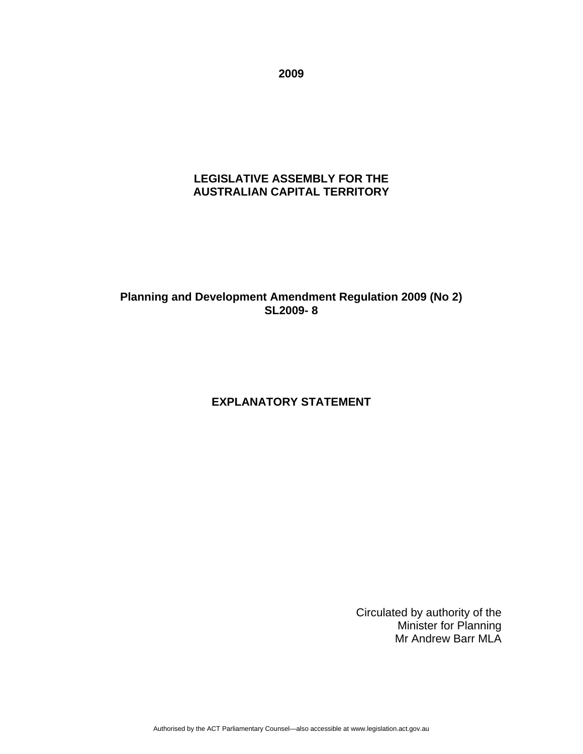**2009** 

#### **LEGISLATIVE ASSEMBLY FOR THE AUSTRALIAN CAPITAL TERRITORY**

## **Planning and Development Amendment Regulation 2009 (No 2) SL2009- 8**

# **EXPLANATORY STATEMENT**

Circulated by authority of the Minister for Planning Mr Andrew Barr MLA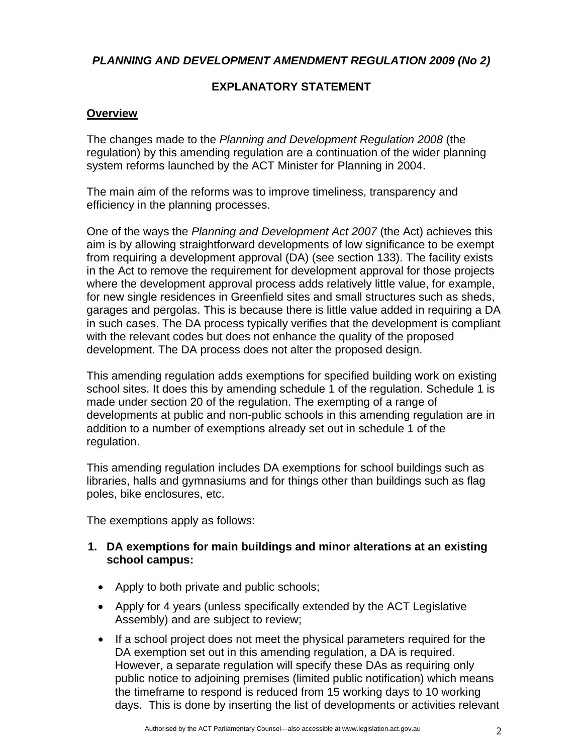*PLANNING AND DEVELOPMENT AMENDMENT REGULATION 2009 (No 2)* 

# **EXPLANATORY STATEMENT**

## **Overview**

The changes made to the *Planning and Development Regulation 2008* (the regulation) by this amending regulation are a continuation of the wider planning system reforms launched by the ACT Minister for Planning in 2004.

The main aim of the reforms was to improve timeliness, transparency and efficiency in the planning processes.

One of the ways the *Planning and Development Act 2007* (the Act) achieves this aim is by allowing straightforward developments of low significance to be exempt from requiring a development approval (DA) (see section 133). The facility exists in the Act to remove the requirement for development approval for those projects where the development approval process adds relatively little value, for example, for new single residences in Greenfield sites and small structures such as sheds, garages and pergolas. This is because there is little value added in requiring a DA in such cases. The DA process typically verifies that the development is compliant with the relevant codes but does not enhance the quality of the proposed development. The DA process does not alter the proposed design.

This amending regulation adds exemptions for specified building work on existing school sites. It does this by amending schedule 1 of the regulation. Schedule 1 is made under section 20 of the regulation. The exempting of a range of developments at public and non-public schools in this amending regulation are in addition to a number of exemptions already set out in schedule 1 of the regulation.

This amending regulation includes DA exemptions for school buildings such as libraries, halls and gymnasiums and for things other than buildings such as flag poles, bike enclosures, etc.

The exemptions apply as follows:

#### **1. DA exemptions for main buildings and minor alterations at an existing school campus:**

- Apply to both private and public schools;
- Apply for 4 years (unless specifically extended by the ACT Legislative Assembly) and are subject to review;
- If a school project does not meet the physical parameters required for the DA exemption set out in this amending regulation, a DA is required. However, a separate regulation will specify these DAs as requiring only public notice to adjoining premises (limited public notification) which means the timeframe to respond is reduced from 15 working days to 10 working days. This is done by inserting the list of developments or activities relevant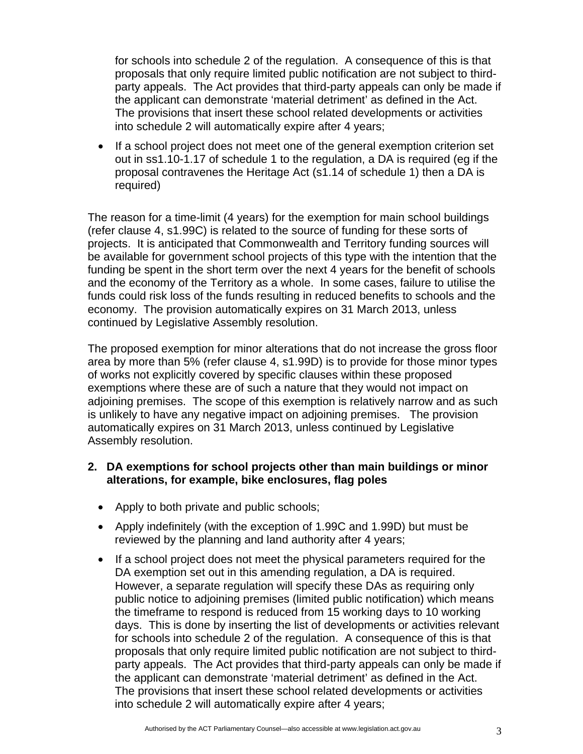for schools into schedule 2 of the regulation. A consequence of this is that proposals that only require limited public notification are not subject to thirdparty appeals. The Act provides that third-party appeals can only be made if the applicant can demonstrate 'material detriment' as defined in the Act. The provisions that insert these school related developments or activities into schedule 2 will automatically expire after 4 years;

• If a school project does not meet one of the general exemption criterion set out in ss1.10-1.17 of schedule 1 to the regulation, a DA is required (eg if the proposal contravenes the Heritage Act (s1.14 of schedule 1) then a DA is required)

The reason for a time-limit (4 years) for the exemption for main school buildings (refer clause 4, s1.99C) is related to the source of funding for these sorts of projects. It is anticipated that Commonwealth and Territory funding sources will be available for government school projects of this type with the intention that the funding be spent in the short term over the next 4 years for the benefit of schools and the economy of the Territory as a whole. In some cases, failure to utilise the funds could risk loss of the funds resulting in reduced benefits to schools and the economy. The provision automatically expires on 31 March 2013, unless continued by Legislative Assembly resolution.

The proposed exemption for minor alterations that do not increase the gross floor area by more than 5% (refer clause 4, s1.99D) is to provide for those minor types of works not explicitly covered by specific clauses within these proposed exemptions where these are of such a nature that they would not impact on adjoining premises. The scope of this exemption is relatively narrow and as such is unlikely to have any negative impact on adjoining premises. The provision automatically expires on 31 March 2013, unless continued by Legislative Assembly resolution.

#### **2. DA exemptions for school projects other than main buildings or minor alterations, for example, bike enclosures, flag poles**

- Apply to both private and public schools;
- Apply indefinitely (with the exception of 1.99C and 1.99D) but must be reviewed by the planning and land authority after 4 years;
- If a school project does not meet the physical parameters required for the DA exemption set out in this amending regulation, a DA is required. However, a separate regulation will specify these DAs as requiring only public notice to adjoining premises (limited public notification) which means the timeframe to respond is reduced from 15 working days to 10 working days. This is done by inserting the list of developments or activities relevant for schools into schedule 2 of the regulation. A consequence of this is that proposals that only require limited public notification are not subject to thirdparty appeals. The Act provides that third-party appeals can only be made if the applicant can demonstrate 'material detriment' as defined in the Act. The provisions that insert these school related developments or activities into schedule 2 will automatically expire after 4 years;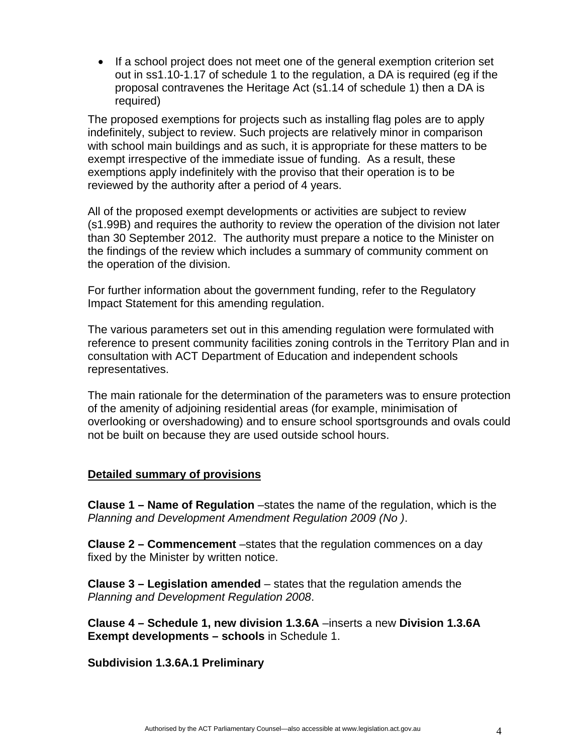• If a school project does not meet one of the general exemption criterion set out in ss1.10-1.17 of schedule 1 to the regulation, a DA is required (eg if the proposal contravenes the Heritage Act (s1.14 of schedule 1) then a DA is required)

The proposed exemptions for projects such as installing flag poles are to apply indefinitely, subject to review. Such projects are relatively minor in comparison with school main buildings and as such, it is appropriate for these matters to be exempt irrespective of the immediate issue of funding. As a result, these exemptions apply indefinitely with the proviso that their operation is to be reviewed by the authority after a period of 4 years.

All of the proposed exempt developments or activities are subject to review (s1.99B) and requires the authority to review the operation of the division not later than 30 September 2012. The authority must prepare a notice to the Minister on the findings of the review which includes a summary of community comment on the operation of the division.

For further information about the government funding, refer to the Regulatory Impact Statement for this amending regulation.

The various parameters set out in this amending regulation were formulated with reference to present community facilities zoning controls in the Territory Plan and in consultation with ACT Department of Education and independent schools representatives.

The main rationale for the determination of the parameters was to ensure protection of the amenity of adjoining residential areas (for example, minimisation of overlooking or overshadowing) and to ensure school sportsgrounds and ovals could not be built on because they are used outside school hours.

#### **Detailed summary of provisions**

**Clause 1 – Name of Regulation** –states the name of the regulation, which is the *Planning and Development Amendment Regulation 2009 (No )*.

**Clause 2 – Commencement** –states that the regulation commences on a day fixed by the Minister by written notice.

**Clause 3 – Legislation amended** – states that the regulation amends the *Planning and Development Regulation 2008*.

**Clause 4 – Schedule 1, new division 1.3.6A** –inserts a new **Division 1.3.6A Exempt developments – schools** in Schedule 1.

**Subdivision 1.3.6A.1 Preliminary**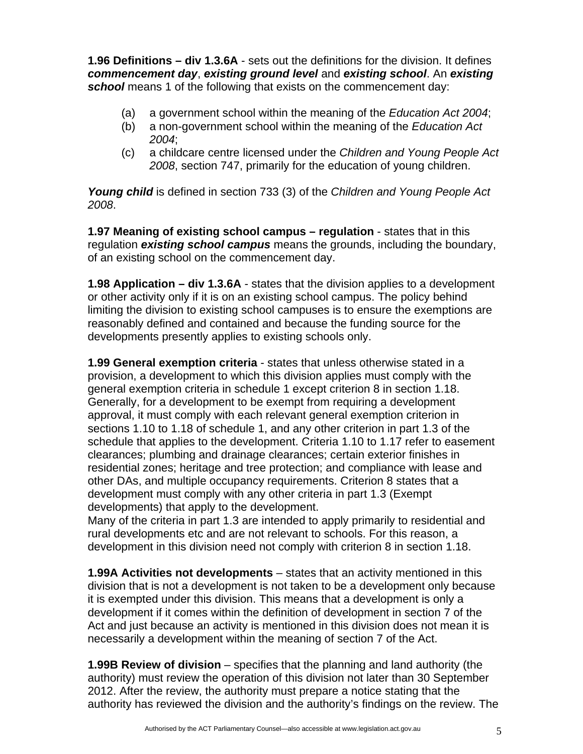**1.96 Definitions – div 1.3.6A** - sets out the definitions for the division. It defines *commencement day*, *existing ground level* and *existing school*. An *existing* **school** means 1 of the following that exists on the commencement day:

- (a) a government school within the meaning of the *Education Act 2004*;
- (b) a non-government school within the meaning of the *Education Act 2004*;
- (c) a childcare centre licensed under the *Children and Young People Act 2008*, section 747, primarily for the education of young children.

*Young child* is defined in section 733 (3) of the *Children and Young People Act 2008*.

**1.97 Meaning of existing school campus – regulation** - states that in this regulation *existing school campus* means the grounds, including the boundary, of an existing school on the commencement day.

**1.98 Application – div 1.3.6A** - states that the division applies to a development or other activity only if it is on an existing school campus. The policy behind limiting the division to existing school campuses is to ensure the exemptions are reasonably defined and contained and because the funding source for the developments presently applies to existing schools only.

**1.99 General exemption criteria** - states that unless otherwise stated in a provision, a development to which this division applies must comply with the general exemption criteria in schedule 1 except criterion 8 in section 1.18. Generally, for a development to be exempt from requiring a development approval, it must comply with each relevant general exemption criterion in sections 1.10 to 1.18 of schedule 1, and any other criterion in part 1.3 of the schedule that applies to the development. Criteria 1.10 to 1.17 refer to easement clearances; plumbing and drainage clearances; certain exterior finishes in residential zones; heritage and tree protection; and compliance with lease and other DAs, and multiple occupancy requirements. Criterion 8 states that a development must comply with any other criteria in part 1.3 (Exempt developments) that apply to the development.

Many of the criteria in part 1.3 are intended to apply primarily to residential and rural developments etc and are not relevant to schools. For this reason, a development in this division need not comply with criterion 8 in section 1.18.

**1.99A Activities not developments** – states that an activity mentioned in this division that is not a development is not taken to be a development only because it is exempted under this division. This means that a development is only a development if it comes within the definition of development in section 7 of the Act and just because an activity is mentioned in this division does not mean it is necessarily a development within the meaning of section 7 of the Act.

**1.99B Review of division** – specifies that the planning and land authority (the authority) must review the operation of this division not later than 30 September 2012. After the review, the authority must prepare a notice stating that the authority has reviewed the division and the authority's findings on the review. The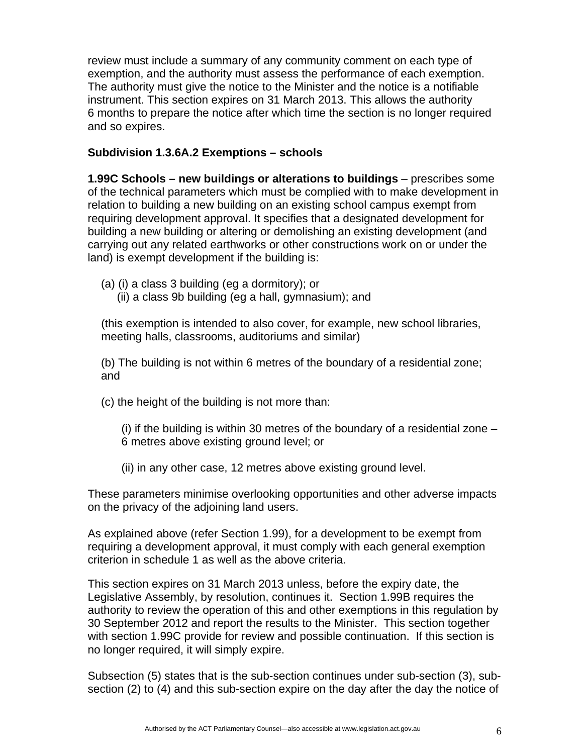review must include a summary of any community comment on each type of exemption, and the authority must assess the performance of each exemption. The authority must give the notice to the Minister and the notice is a notifiable instrument. This section expires on 31 March 2013. This allows the authority 6 months to prepare the notice after which time the section is no longer required and so expires.

#### **Subdivision 1.3.6A.2 Exemptions – schools**

**1.99C Schools – new buildings or alterations to buildings** – prescribes some of the technical parameters which must be complied with to make development in relation to building a new building on an existing school campus exempt from requiring development approval. It specifies that a designated development for building a new building or altering or demolishing an existing development (and carrying out any related earthworks or other constructions work on or under the land) is exempt development if the building is:

- (a) (i) a class 3 building (eg a dormitory); or
	- (ii) a class 9b building (eg a hall, gymnasium); and

(this exemption is intended to also cover, for example, new school libraries, meeting halls, classrooms, auditoriums and similar)

(b) The building is not within 6 metres of the boundary of a residential zone; and

(c) the height of the building is not more than:

(i) if the building is within 30 metres of the boundary of a residential zone – 6 metres above existing ground level; or

(ii) in any other case, 12 metres above existing ground level.

These parameters minimise overlooking opportunities and other adverse impacts on the privacy of the adjoining land users.

As explained above (refer Section 1.99), for a development to be exempt from requiring a development approval, it must comply with each general exemption criterion in schedule 1 as well as the above criteria.

This section expires on 31 March 2013 unless, before the expiry date, the Legislative Assembly, by resolution, continues it. Section 1.99B requires the authority to review the operation of this and other exemptions in this regulation by 30 September 2012 and report the results to the Minister. This section together with section 1.99C provide for review and possible continuation. If this section is no longer required, it will simply expire.

Subsection (5) states that is the sub-section continues under sub-section (3), subsection (2) to (4) and this sub-section expire on the day after the day the notice of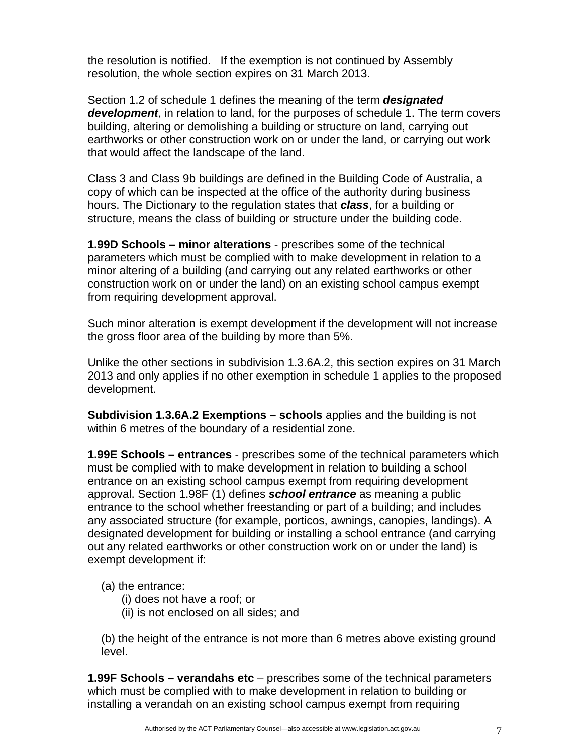the resolution is notified. If the exemption is not continued by Assembly resolution, the whole section expires on 31 March 2013.

Section 1.2 of schedule 1 defines the meaning of the term *designated development*, in relation to land, for the purposes of schedule 1. The term covers building, altering or demolishing a building or structure on land, carrying out earthworks or other construction work on or under the land, or carrying out work that would affect the landscape of the land.

Class 3 and Class 9b buildings are defined in the Building Code of Australia, a copy of which can be inspected at the office of the authority during business hours. The Dictionary to the regulation states that *class*, for a building or structure, means the class of building or structure under the building code.

**1.99D Schools – minor alterations** - prescribes some of the technical parameters which must be complied with to make development in relation to a minor altering of a building (and carrying out any related earthworks or other construction work on or under the land) on an existing school campus exempt from requiring development approval.

Such minor alteration is exempt development if the development will not increase the gross floor area of the building by more than 5%.

Unlike the other sections in subdivision 1.3.6A.2, this section expires on 31 March 2013 and only applies if no other exemption in schedule 1 applies to the proposed development.

**Subdivision 1.3.6A.2 Exemptions – schools** applies and the building is not within 6 metres of the boundary of a residential zone.

**1.99E Schools – entrances** - prescribes some of the technical parameters which must be complied with to make development in relation to building a school entrance on an existing school campus exempt from requiring development approval. Section 1.98F (1) defines *school entrance* as meaning a public entrance to the school whether freestanding or part of a building; and includes any associated structure (for example, porticos, awnings, canopies, landings). A designated development for building or installing a school entrance (and carrying out any related earthworks or other construction work on or under the land) is exempt development if:

#### (a) the entrance:

- (i) does not have a roof; or
- (ii) is not enclosed on all sides; and

(b) the height of the entrance is not more than 6 metres above existing ground level.

**1.99F Schools – verandahs etc** – prescribes some of the technical parameters which must be complied with to make development in relation to building or installing a verandah on an existing school campus exempt from requiring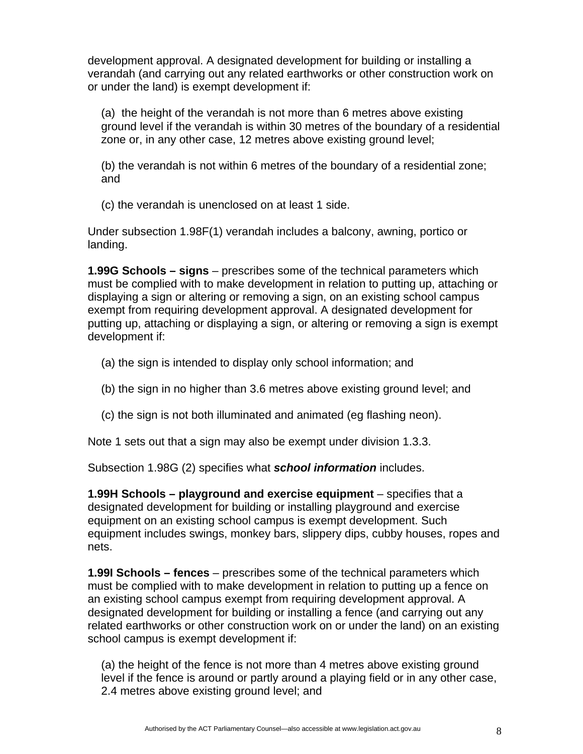development approval. A designated development for building or installing a verandah (and carrying out any related earthworks or other construction work on or under the land) is exempt development if:

(a) the height of the verandah is not more than 6 metres above existing ground level if the verandah is within 30 metres of the boundary of a residential zone or, in any other case, 12 metres above existing ground level;

(b) the verandah is not within 6 metres of the boundary of a residential zone; and

(c) the verandah is unenclosed on at least 1 side.

Under subsection 1.98F(1) verandah includes a balcony, awning, portico or landing.

**1.99G Schools – signs** – prescribes some of the technical parameters which must be complied with to make development in relation to putting up, attaching or displaying a sign or altering or removing a sign, on an existing school campus exempt from requiring development approval. A designated development for putting up, attaching or displaying a sign, or altering or removing a sign is exempt development if:

- (a) the sign is intended to display only school information; and
- (b) the sign in no higher than 3.6 metres above existing ground level; and
- (c) the sign is not both illuminated and animated (eg flashing neon).

Note 1 sets out that a sign may also be exempt under division 1.3.3.

Subsection 1.98G (2) specifies what *school information* includes.

**1.99H Schools – playground and exercise equipment** – specifies that a designated development for building or installing playground and exercise equipment on an existing school campus is exempt development. Such equipment includes swings, monkey bars, slippery dips, cubby houses, ropes and nets.

**1.99I Schools – fences** – prescribes some of the technical parameters which must be complied with to make development in relation to putting up a fence on an existing school campus exempt from requiring development approval. A designated development for building or installing a fence (and carrying out any related earthworks or other construction work on or under the land) on an existing school campus is exempt development if:

(a) the height of the fence is not more than 4 metres above existing ground level if the fence is around or partly around a playing field or in any other case, 2.4 metres above existing ground level; and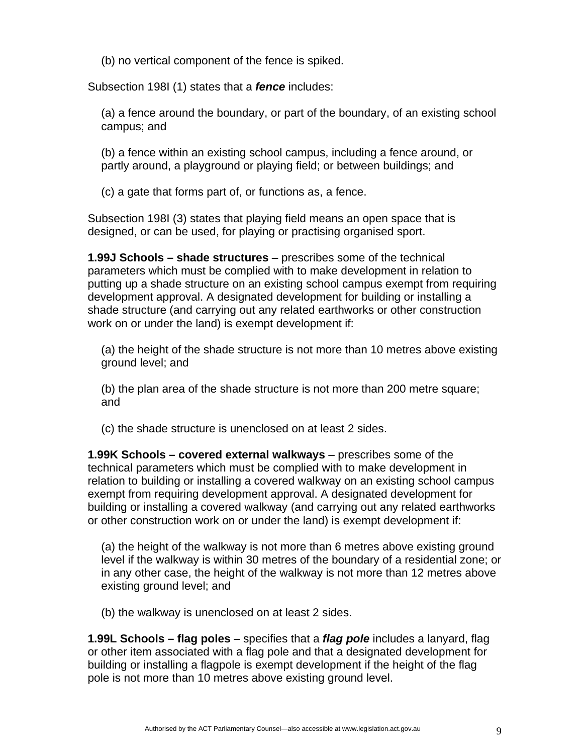(b) no vertical component of the fence is spiked.

Subsection 198I (1) states that a *fence* includes:

(a) a fence around the boundary, or part of the boundary, of an existing school campus; and

(b) a fence within an existing school campus, including a fence around, or partly around, a playground or playing field; or between buildings; and

(c) a gate that forms part of, or functions as, a fence.

Subsection 198I (3) states that playing field means an open space that is designed, or can be used, for playing or practising organised sport.

**1.99J Schools – shade structures** – prescribes some of the technical parameters which must be complied with to make development in relation to putting up a shade structure on an existing school campus exempt from requiring development approval. A designated development for building or installing a shade structure (and carrying out any related earthworks or other construction work on or under the land) is exempt development if:

(a) the height of the shade structure is not more than 10 metres above existing ground level; and

(b) the plan area of the shade structure is not more than 200 metre square; and

(c) the shade structure is unenclosed on at least 2 sides.

**1.99K Schools – covered external walkways** – prescribes some of the technical parameters which must be complied with to make development in relation to building or installing a covered walkway on an existing school campus exempt from requiring development approval. A designated development for building or installing a covered walkway (and carrying out any related earthworks or other construction work on or under the land) is exempt development if:

(a) the height of the walkway is not more than 6 metres above existing ground level if the walkway is within 30 metres of the boundary of a residential zone; or in any other case, the height of the walkway is not more than 12 metres above existing ground level; and

(b) the walkway is unenclosed on at least 2 sides.

**1.99L Schools – flag poles** – specifies that a *flag pole* includes a lanyard, flag or other item associated with a flag pole and that a designated development for building or installing a flagpole is exempt development if the height of the flag pole is not more than 10 metres above existing ground level.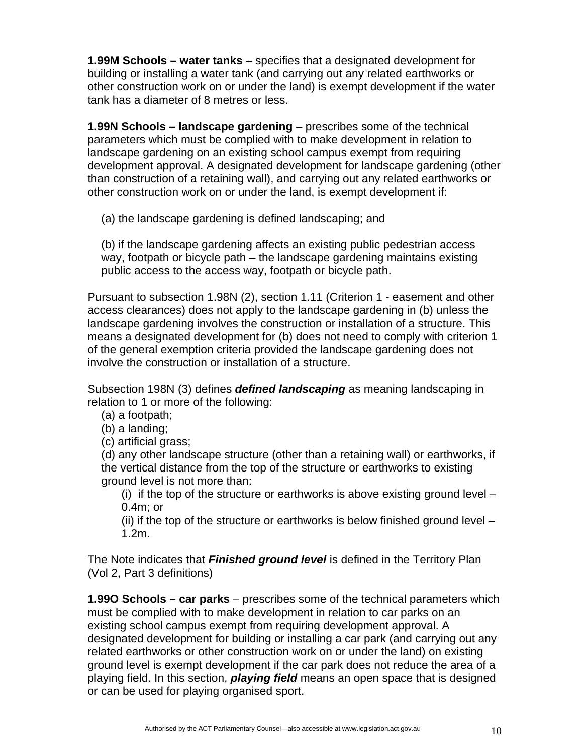**1.99M Schools – water tanks** – specifies that a designated development for building or installing a water tank (and carrying out any related earthworks or other construction work on or under the land) is exempt development if the water tank has a diameter of 8 metres or less.

**1.99N Schools – landscape gardening** – prescribes some of the technical parameters which must be complied with to make development in relation to landscape gardening on an existing school campus exempt from requiring development approval. A designated development for landscape gardening (other than construction of a retaining wall), and carrying out any related earthworks or other construction work on or under the land, is exempt development if:

(a) the landscape gardening is defined landscaping; and

(b) if the landscape gardening affects an existing public pedestrian access way, footpath or bicycle path – the landscape gardening maintains existing public access to the access way, footpath or bicycle path.

Pursuant to subsection 1.98N (2), section 1.11 (Criterion 1 - easement and other access clearances) does not apply to the landscape gardening in (b) unless the landscape gardening involves the construction or installation of a structure. This means a designated development for (b) does not need to comply with criterion 1 of the general exemption criteria provided the landscape gardening does not involve the construction or installation of a structure.

Subsection 198N (3) defines *defined landscaping* as meaning landscaping in relation to 1 or more of the following:

(a) a footpath;

(b) a landing;

(c) artificial grass;

(d) any other landscape structure (other than a retaining wall) or earthworks, if the vertical distance from the top of the structure or earthworks to existing ground level is not more than:

(i) if the top of the structure or earthworks is above existing ground level – 0.4m; or

(ii) if the top of the structure or earthworks is below finished ground level – 1.2m.

The Note indicates that *Finished ground level* is defined in the Territory Plan (Vol 2, Part 3 definitions)

**1.99O Schools – car parks** – prescribes some of the technical parameters which must be complied with to make development in relation to car parks on an existing school campus exempt from requiring development approval. A designated development for building or installing a car park (and carrying out any related earthworks or other construction work on or under the land) on existing ground level is exempt development if the car park does not reduce the area of a playing field. In this section, *playing field* means an open space that is designed or can be used for playing organised sport.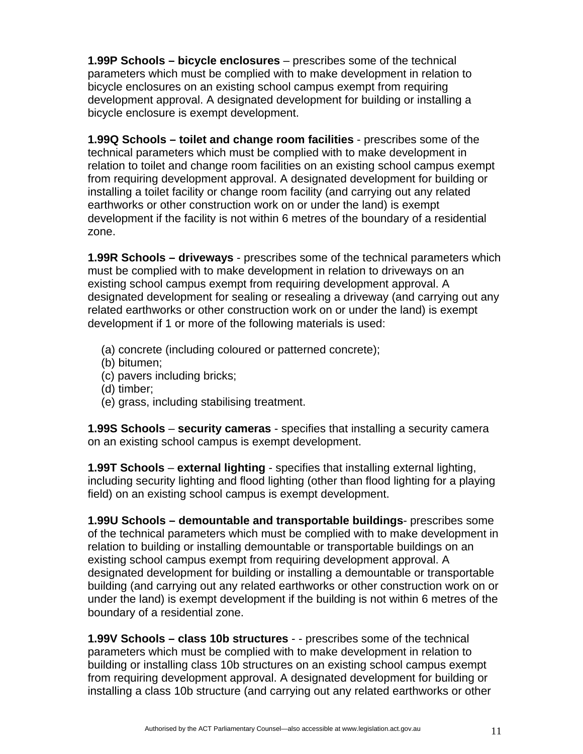**1.99P Schools – bicycle enclosures** – prescribes some of the technical parameters which must be complied with to make development in relation to bicycle enclosures on an existing school campus exempt from requiring development approval. A designated development for building or installing a bicycle enclosure is exempt development.

**1.99Q Schools – toilet and change room facilities** - prescribes some of the technical parameters which must be complied with to make development in relation to toilet and change room facilities on an existing school campus exempt from requiring development approval. A designated development for building or installing a toilet facility or change room facility (and carrying out any related earthworks or other construction work on or under the land) is exempt development if the facility is not within 6 metres of the boundary of a residential zone.

**1.99R Schools – driveways** - prescribes some of the technical parameters which must be complied with to make development in relation to driveways on an existing school campus exempt from requiring development approval. A designated development for sealing or resealing a driveway (and carrying out any related earthworks or other construction work on or under the land) is exempt development if 1 or more of the following materials is used:

- (a) concrete (including coloured or patterned concrete);
- (b) bitumen;
- (c) pavers including bricks;
- (d) timber;
- (e) grass, including stabilising treatment.

**1.99S Schools** – **security cameras** - specifies that installing a security camera on an existing school campus is exempt development.

**1.99T Schools** – **external lighting** - specifies that installing external lighting, including security lighting and flood lighting (other than flood lighting for a playing field) on an existing school campus is exempt development.

**1.99U Schools – demountable and transportable buildings**- prescribes some of the technical parameters which must be complied with to make development in relation to building or installing demountable or transportable buildings on an existing school campus exempt from requiring development approval. A designated development for building or installing a demountable or transportable building (and carrying out any related earthworks or other construction work on or under the land) is exempt development if the building is not within 6 metres of the boundary of a residential zone.

**1.99V Schools – class 10b structures** - - prescribes some of the technical parameters which must be complied with to make development in relation to building or installing class 10b structures on an existing school campus exempt from requiring development approval. A designated development for building or installing a class 10b structure (and carrying out any related earthworks or other